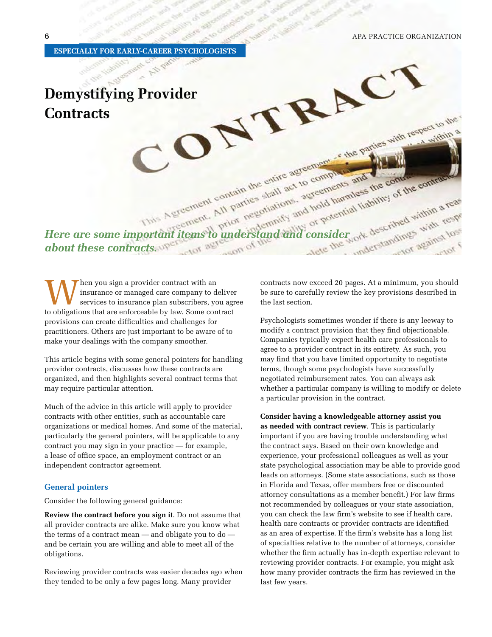**ESPECIALLY FOR EARLY-CAREER PSYCHOLOGISTS**

# Demystifying Provider Contracts **Contracts**

*Here are some important items to understand and consider about these contracts.* 

When you sign a provider contract with an insurance or managed care company to dependence or managed care company to dependence on the obligations that are enforceable by law. Some coninsurance or managed care company to deliver services to insurance plan subscribers, you agree to obligations that are enforceable by law. Some contract provisions can create difficulties and challenges for practitioners. Others are just important to be aware of to make your dealings with the company smoother.

This article begins with some general pointers for handling provider contracts, discusses how these contracts are organized, and then highlights several contract terms that may require particular attention.

Much of the advice in this article will apply to provider contracts with other entities, such as accountable care organizations or medical homes. And some of the material, particularly the general pointers, will be applicable to any contract you may sign in your practice — for example, a lease of office space, an employment contract or an independent contractor agreement.

#### **General pointers**

Consider the following general guidance:

**Review the contract before you sign it**. Do not assume that all provider contracts are alike. Make sure you know what the terms of a contract mean — and obligate you to do and be certain you are willing and able to meet all of the obligations.

Reviewing provider contracts was easier decades ago when they tended to be only a few pages long. Many provider

contracts now exceed 20 pages. At a minimum, you should be sure to carefully review the key provisions described in the last section.

Psychologists sometimes wonder if there is any leeway to modify a contract provision that they find objectionable. Companies typically expect health care professionals to agree to a provider contract in its entirety. As such, you may find that you have limited opportunity to negotiate terms, though some psychologists have successfully negotiated reimbursement rates. You can always ask whether a particular company is willing to modify or delete a particular provision in the contract.

**Consider having a knowledgeable attorney assist you as needed with contract review**. This is particularly important if you are having trouble understanding what the contract says. Based on their own knowledge and experience, your professional colleagues as well as your state psychological association may be able to provide good leads on attorneys. (Some state associations, such as those in Florida and Texas, offer members free or discounted attorney consultations as a member benefit.) For law firms not recommended by colleagues or your state association, you can check the law firm's website to see if health care, health care contracts or provider contracts are identified as an area of expertise. If the firm's website has a long list of specialties relative to the number of attorneys, consider whether the firm actually has in-depth expertise relevant to reviewing provider contracts. For example, you might ask how many provider contracts the firm has reviewed in the last few years.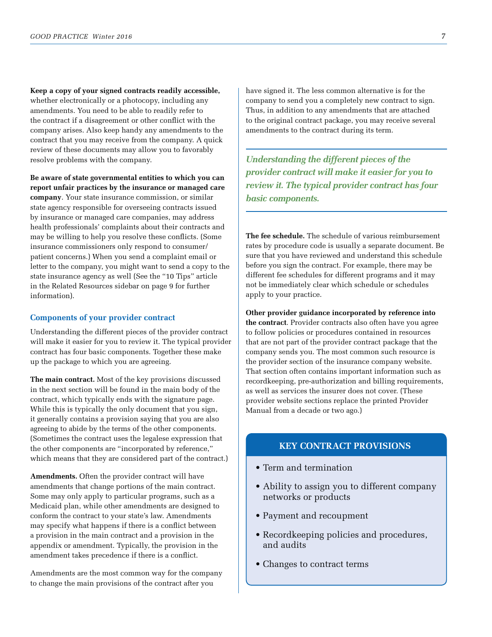**Keep a copy of your signed contracts readily accessible,**  whether electronically or a photocopy, including any amendments. You need to be able to readily refer to the contract if a disagreement or other conflict with the company arises. Also keep handy any amendments to the contract that you may receive from the company. A quick review of these documents may allow you to favorably resolve problems with the company.

**Be aware of state governmental entities to which you can report unfair practices by the insurance or managed care company**. Your state insurance commission, or similar state agency responsible for overseeing contracts issued by insurance or managed care companies, may address health professionals' complaints about their contracts and may be willing to help you resolve these conflicts. (Some insurance commissioners only respond to consumer/ patient concerns.) When you send a complaint email or letter to the company, you might want to send a copy to the state insurance agency as well (See the "10 Tips" article in the Related Resources sidebar on page 9 for further information).

#### **Components of your provider contract**

Understanding the different pieces of the provider contract will make it easier for you to review it. The typical provider contract has four basic components. Together these make up the package to which you are agreeing.

**The main contract.** Most of the key provisions discussed in the next section will be found in the main body of the contract, which typically ends with the signature page. While this is typically the only document that you sign, it generally contains a provision saying that you are also agreeing to abide by the terms of the other components. (Sometimes the contract uses the legalese expression that the other components are "incorporated by reference," which means that they are considered part of the contract.)

**Amendments.** Often the provider contract will have amendments that change portions of the main contract. Some may only apply to particular programs, such as a Medicaid plan, while other amendments are designed to conform the contract to your state's law. Amendments may specify what happens if there is a conflict between a provision in the main contract and a provision in the appendix or amendment. Typically, the provision in the amendment takes precedence if there is a conflict.

Amendments are the most common way for the company to change the main provisions of the contract after you

have signed it. The less common alternative is for the company to send you a completely new contract to sign. Thus, in addition to any amendments that are attached to the original contract package, you may receive several amendments to the contract during its term.

*Understanding the different pieces of the provider contract will make it easier for you to review it. The typical provider contract has four basic components.*

**The fee schedule.** The schedule of various reimbursement rates by procedure code is usually a separate document. Be sure that you have reviewed and understand this schedule before you sign the contract. For example, there may be different fee schedules for different programs and it may not be immediately clear which schedule or schedules apply to your practice.

**Other provider guidance incorporated by reference into the contract**. Provider contracts also often have you agree to follow policies or procedures contained in resources that are not part of the provider contract package that the company sends you. The most common such resource is the provider section of the insurance company website. That section often contains important information such as recordkeeping, pre-authorization and billing requirements, as well as services the insurer does not cover. (These provider website sections replace the printed Provider Manual from a decade or two ago.)

#### **KEY CONTRACT PROVISIONS**

- Term and termination
- Ability to assign you to different company networks or products
- Payment and recoupment
- Recordkeeping policies and procedures, and audits
- Changes to contract terms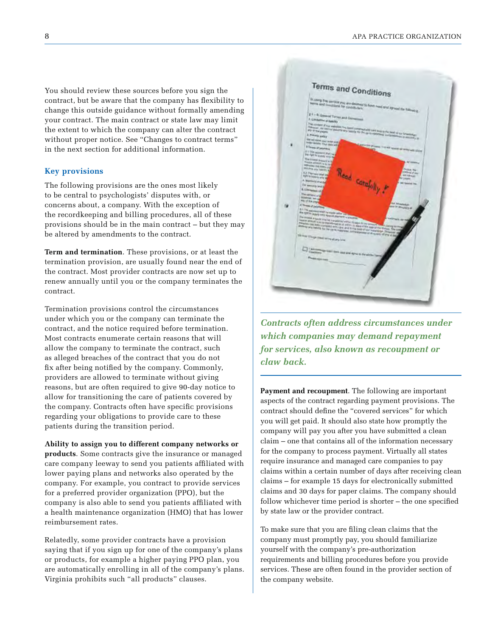You should review these sources before you sign the contract, but be aware that the company has flexibility to change this outside guidance without formally amending your contract. The main contract or state law may limit the extent to which the company can alter the contract without proper notice. See "Changes to contract terms" in the next section for additional information.

#### **Key provisions**

The following provisions are the ones most likely to be central to psychologists' disputes with, or concerns about, a company. With the exception of the recordkeeping and billing procedures, all of these provisions should be in the main contract – but they may be altered by amendments to the contract.

**Term and termination**. These provisions, or at least the termination provision, are usually found near the end of the contract. Most provider contracts are now set up to renew annually until you or the company terminates the contract.

Termination provisions control the circumstances under which you or the company can terminate the contract, and the notice required before termination. Most contracts enumerate certain reasons that will allow the company to terminate the contract, such as alleged breaches of the contract that you do not fix after being notified by the company. Commonly, providers are allowed to terminate without giving reasons, but are often required to give 90-day notice to allow for transitioning the care of patients covered by the company. Contracts often have specific provisions regarding your obligations to provide care to these patients during the transition period.

**Ability to assign you to different company networks or products**. Some contracts give the insurance or managed care company leeway to send you patients affiliated with lower paying plans and networks also operated by the company. For example, you contract to provide services for a preferred provider organization (PPO), but the company is also able to send you patients affiliated with a health maintenance organization (HMO) that has lower reimbursement rates.

Relatedly, some provider contracts have a provision saying that if you sign up for one of the company's plans or products, for example a higher paying PPO plan, you are automatically enrolling in all of the company's plans. Virginia prohibits such "all products" clauses.



*Contracts often address circumstances under which companies may demand repayment for services, also known as recoupment or claw back.*

**Payment and recoupment**. The following are important aspects of the contract regarding payment provisions. The contract should define the "covered services" for which you will get paid. It should also state how promptly the company will pay you after you have submitted a clean claim – one that contains all of the information necessary for the company to process payment. Virtually all states require insurance and managed care companies to pay claims within a certain number of days after receiving clean claims – for example 15 days for electronically submitted claims and 30 days for paper claims. The company should follow whichever time period is shorter – the one specified by state law or the provider contract.

To make sure that you are filing clean claims that the company must promptly pay, you should familiarize yourself with the company's pre-authorization requirements and billing procedures before you provide services. These are often found in the provider section of the company website.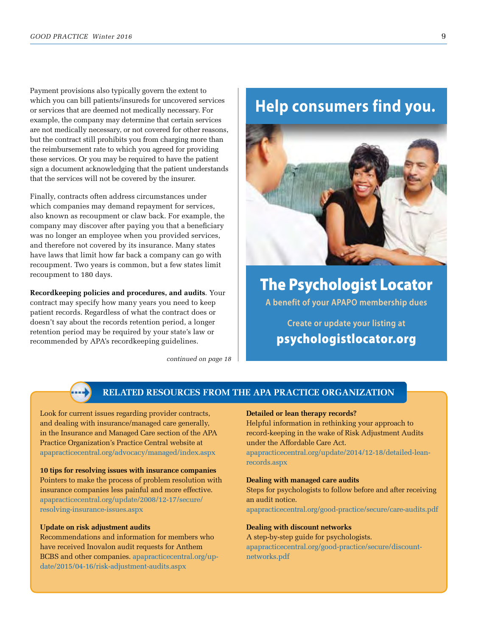Payment provisions also typically govern the extent to which you can bill patients/insureds for uncovered services or services that are deemed not medically necessary. For example, the company may determine that certain services are not medically necessary, or not covered for other reasons, but the contract still prohibits you from charging more than the reimbursement rate to which you agreed for providing these services. Or you may be required to have the patient sign a document acknowledging that the patient understands that the services will not be covered by the insurer.

Finally, contracts often address circumstances under which companies may demand repayment for services, also known as recoupment or claw back. For example, the company may discover after paying you that a beneficiary was no longer an employee when you provided services, and therefore not covered by its insurance. Many states have laws that limit how far back a company can go with recoupment. Two years is common, but a few states limit recoupment to 180 days.

**Recordkeeping policies and procedures, and audits**. Your contract may specify how many years you need to keep patient records. Regardless of what the contract does or doesn't say about the records retention period, a longer retention period may be required by your state's law or recommended by APA's recordkeeping guidelines.

*continued on page 18*

## **Help consumers find you.**



**THE PSYCHOLOGIST LOCATOR A benefit of your APAPO membership dues** 

**Create or update your listing at psychologistlocator.org**

#### **RELATED RESOURCES FROM THE APA PRACTICE ORGANIZATION**

Look for current issues regarding provider contracts, and dealing with insurance/managed care generally, in the Insurance and Managed Care section of the APA Practice Organization's Practice Central website at apapracticecentral.org/advocacy/managed/index.aspx

**10 tips for resolving issues with insurance companies** Pointers to make the process of problem resolution with insurance companies less painful and more effective. apapracticecentral.org/update/2008/12-17/secure/ resolving-insurance-issues.aspx

#### **Update on risk adjustment audits**

Recommendations and information for members who have received Inovalon audit requests for Anthem BCBS and other companies. apapracticecentral.org/update/2015/04-16/risk-adjustment-audits.aspx

#### **Detailed or lean therapy records?**

Helpful information in rethinking your approach to record-keeping in the wake of Risk Adjustment Audits under the Affordable Care Act.

apapracticecentral.org/update/2014/12-18/detailed-leanrecords.aspx

#### **Dealing with managed care audits**

Steps for psychologists to follow before and after receiving an audit notice.

apapracticecentral.org/good-practice/secure/care-audits.pdf

**Dealing with discount networks** A step-by-step guide for psychologists. apapracticecentral.org/good-practice/secure/discountnetworks.pdf